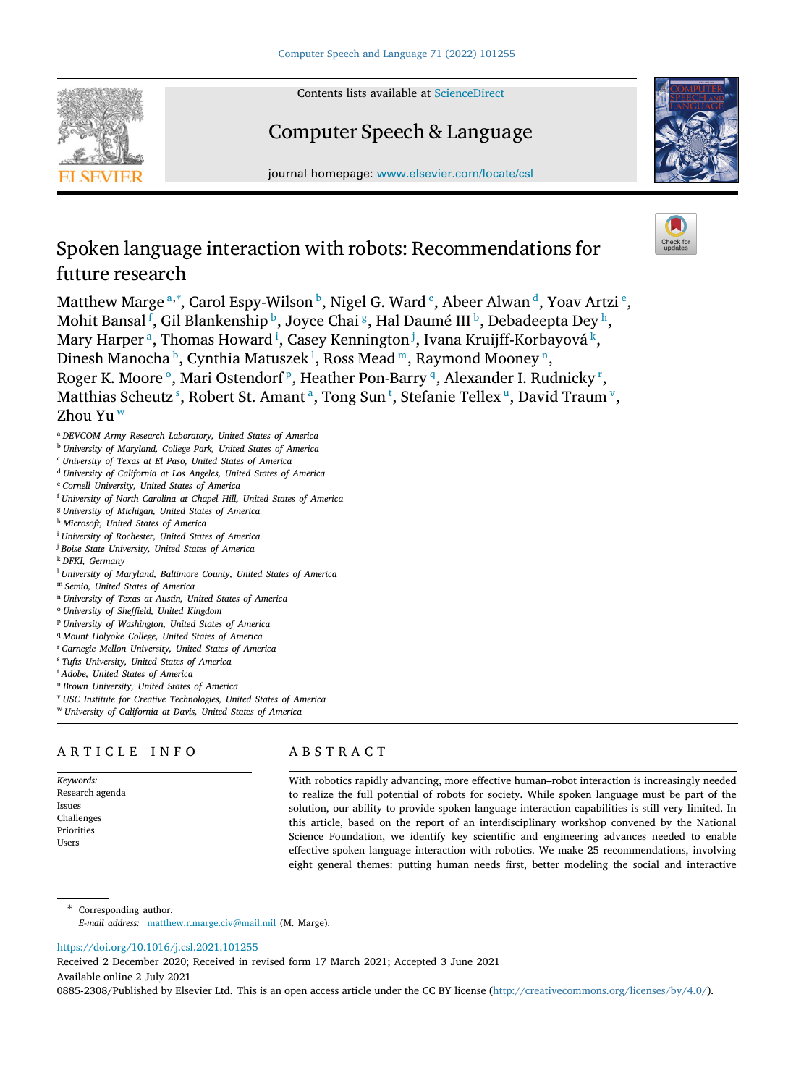Contents lists available at [ScienceDirect](http://www.elsevier.com/locate/csl)

# Computer Speech & Language

journal homepage: [www.elsevier.com/locate/csl](http://www.elsevier.com/locate/csl)

# Spoken language interaction with robots: Recommendations for future research

M[a](#page-0-0)tthew Marge <sup>a,\*</sup>, Carol Espy-Wilson <sup>[b](#page-0-2)</sup>, Nigel G. Ward <sup>[c](#page-0-3)</sup>, Abeer Alwan <sup>[d](#page-0-4)</sup>, Yoav Artzi <sup>[e](#page-0-5)</sup>, Mohit Bansal <sup>[f](#page-0-6)</sup>, Gil Blankens[h](#page-0-8)ip  $^{\rm b}$  $^{\rm b}$  $^{\rm b}$ , Joyce Chai  $^{\rm g}$  $^{\rm g}$  $^{\rm g}$ , Hal Daumé III  $^{\rm b}$ , Debadeepta Dey  $^{\rm h}$ , M[a](#page-0-0)ry Harper <sup>a</sup>, Thomas Howard <sup>[i](#page-0-9)</sup>, Casey Kennington <sup>[j](#page-0-10)</sup>, Ivana Kruijff-Korbayová <sup>[k](#page-0-11)</sup>, Dinesh Manocha <sup>[b](#page-0-2)</sup>, Cynthia Matuszek <sup>[l](#page-0-12)</sup>, Ross Mead [m](#page-0-13), Raymo[n](#page-0-14)d Mooney <sup>n</sup>, R[o](#page-0-15)ger K. Moore<su[p](#page-0-16)>o</sup>, Mari Ostendorf<sup>p</sup>, Heather Pon-Barry<sup>[q](#page-0-17)</sup>, Alexande[r](#page-0-18) I. Rudnicky<sup>r</sup>, Matthia[s](#page-0-19) Scheu[t](#page-0-20)z  $^{\mathrm{s}}$  $^{\mathrm{s}}$  $^{\mathrm{s}}$ , Robert St. Amant  $^{\mathrm{a}}$ , Tong S[u](#page-0-21)n  $^{\mathrm{t}}$ , Stefanie Tellex  $^{\mathrm{u}}$ , Da[v](#page-0-22)id Traum  $^{\mathrm{v}}$ , Zhou Yu [w](#page-0-23)

- <span id="page-0-0"></span><sup>a</sup> *DEVCOM Army Research Laboratory, United States of America*
- <span id="page-0-2"></span><sup>b</sup> *University of Maryland, College Park, United States of America*
- <span id="page-0-3"></span><sup>c</sup> *University of Texas at El Paso, United States of America*
- <span id="page-0-4"></span><sup>d</sup> *University of California at Los Angeles, United States of America*
- <span id="page-0-5"></span><sup>e</sup> *Cornell University, United States of America*
- <span id="page-0-6"></span><sup>f</sup> *University of North Carolina at Chapel Hill, United States of America*
- <span id="page-0-7"></span><sup>g</sup> *University of Michigan, United States of America*
- <span id="page-0-8"></span><sup>h</sup> *Microsoft, United States of America*
- <span id="page-0-9"></span><sup>i</sup> *University of Rochester, United States of America*
- <span id="page-0-10"></span><sup>j</sup> *Boise State University, United States of America*
- <span id="page-0-11"></span><sup>k</sup> *DFKI, Germany*
- <span id="page-0-12"></span><sup>l</sup> *University of Maryland, Baltimore County, United States of America*
- <span id="page-0-13"></span><sup>m</sup> *Semio, United States of America*
- <span id="page-0-14"></span><sup>n</sup> *University of Texas at Austin, United States of America*
- <span id="page-0-15"></span><sup>o</sup> *University of Sheffield, United Kingdom*
- <span id="page-0-16"></span><sup>p</sup> *University of Washington, United States of America*
- <span id="page-0-17"></span><sup>q</sup> *Mount Holyoke College, United States of America*
- <span id="page-0-18"></span><sup>r</sup> *Carnegie Mellon University, United States of America*
- <span id="page-0-19"></span><sup>s</sup> *Tufts University, United States of America*
- <span id="page-0-20"></span><sup>t</sup> *Adobe, United States of America*
- <span id="page-0-21"></span><sup>u</sup> *Brown University, United States of America*
- <span id="page-0-22"></span><sup>v</sup> *USC Institute for Creative Technologies, United States of America*
- <span id="page-0-23"></span><sup>w</sup> *University of California at Davis, United States of America*

## ARTICLE INFO

*Keywords:* Research agenda Issues Challenges Priorities Users

## A B S T R A C T

With robotics rapidly advancing, more effective human–robot interaction is increasingly needed to realize the full potential of robots for society. While spoken language must be part of the solution, our ability to provide spoken language interaction capabilities is still very limited. In this article, based on the report of an interdisciplinary workshop convened by the National Science Foundation, we identify key scientific and engineering advances needed to enable effective spoken language interaction with robotics. We make 25 recommendations, involving eight general themes: putting human needs first, better modeling the social and interactive

<span id="page-0-1"></span>Corresponding author. *E-mail address:* [matthew.r.marge.civ@mail.mil](mailto:matthew.r.marge.civ@mail.mil) (M. Marge).

## <https://doi.org/10.1016/j.csl.2021.101255>

Received 2 December 2020; Received in revised form 17 March 2021; Accepted 3 June 2021

Available online 2 July 2021

0885-2308/Published by Elsevier Ltd. This is an open access article under the CC BY license [\(http://creativecommons.org/licenses/by/4.0/\)](http://creativecommons.org/licenses/by/4.0/).

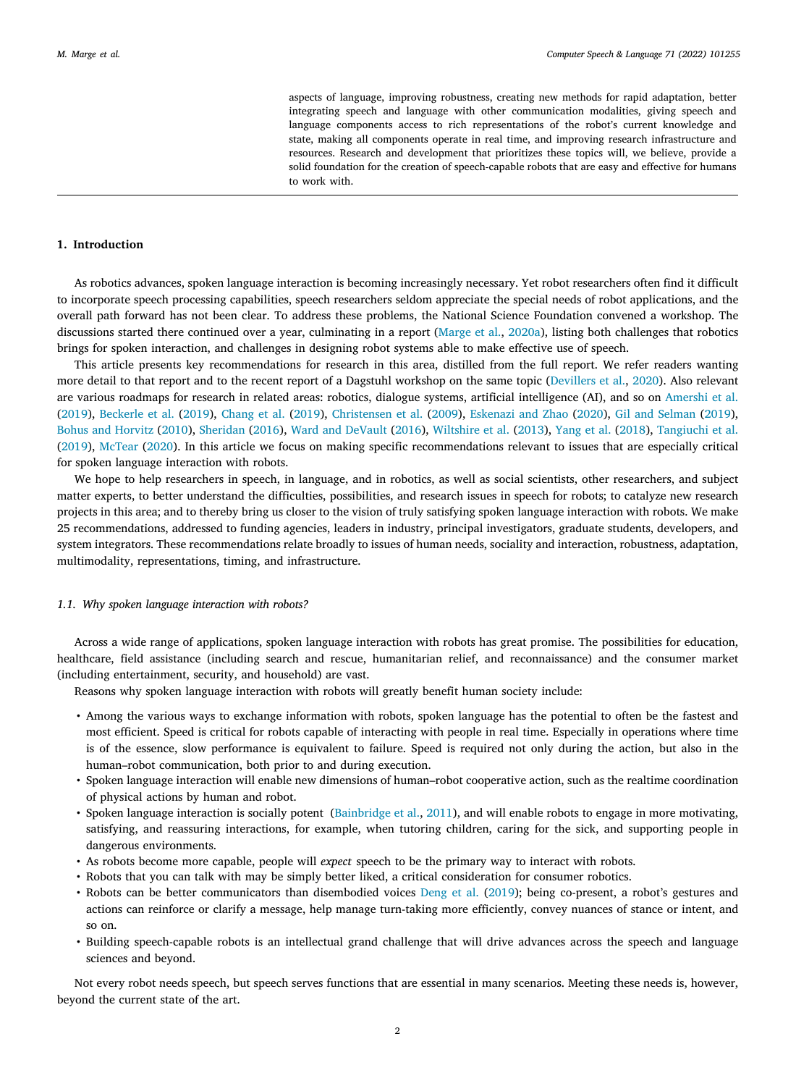aspects of language, improving robustness, creating new methods for rapid adaptation, better integrating speech and language with other communication modalities, giving speech and language components access to rich representations of the robot's current knowledge and state, making all components operate in real time, and improving research infrastructure and resources. Research and development that prioritizes these topics will, we believe, provide a solid foundation for the creation of speech-capable robots that are easy and effective for humans to work with.

## **1. Introduction**

As robotics advances, spoken language interaction is becoming increasingly necessary. Yet robot researchers often find it difficult to incorporate speech processing capabilities, speech researchers seldom appreciate the special needs of robot applications, and the overall path forward has not been clear. To address these problems, the National Science Foundation convened a workshop. The discussions started there continued over a year, culminating in a report ([Marge et al.,](#page-11-0) [2020a\)](#page-11-0), listing both challenges that robotics brings for spoken interaction, and challenges in designing robot systems able to make effective use of speech.

This article presents key recommendations for research in this area, distilled from the full report. We refer readers wanting more detail to that report and to the recent report of a Dagstuhl workshop on the same topic ([Devillers et al.,](#page-11-1) [2020\)](#page-11-1). Also relevant are various roadmaps for research in related areas: robotics, dialogue systems, artificial intelligence (AI), and so on [Amershi et al.](#page-11-2) [\(2019\)](#page-11-2), [Beckerle et al.](#page-11-3) [\(2019](#page-11-3)), [Chang et al.](#page-11-4) ([2019\)](#page-11-4), [Christensen et al.](#page-11-5) [\(2009](#page-11-5)), [Eskenazi and Zhao](#page-11-6) ([2020\)](#page-11-6), [Gil and Selman](#page-11-7) ([2019\)](#page-11-7), [Bohus and Horvitz](#page-11-8) ([2010\)](#page-11-8), [Sheridan](#page-12-0) [\(2016](#page-12-0)), [Ward and DeVault](#page-12-1) [\(2016](#page-12-1)), [Wiltshire et al.](#page-12-2) [\(2013](#page-12-2)), [Yang et al.](#page-12-3) ([2018\)](#page-12-3), [Tangiuchi et al.](#page-12-4) [\(2019\)](#page-12-4), [McTear](#page-11-9) [\(2020](#page-11-9)). In this article we focus on making specific recommendations relevant to issues that are especially critical for spoken language interaction with robots.

We hope to help researchers in speech, in language, and in robotics, as well as social scientists, other researchers, and subject matter experts, to better understand the difficulties, possibilities, and research issues in speech for robots; to catalyze new research projects in this area; and to thereby bring us closer to the vision of truly satisfying spoken language interaction with robots. We make 25 recommendations, addressed to funding agencies, leaders in industry, principal investigators, graduate students, developers, and system integrators. These recommendations relate broadly to issues of human needs, sociality and interaction, robustness, adaptation, multimodality, representations, timing, and infrastructure.

## *1.1. Why spoken language interaction with robots?*

Across a wide range of applications, spoken language interaction with robots has great promise. The possibilities for education, healthcare, field assistance (including search and rescue, humanitarian relief, and reconnaissance) and the consumer market (including entertainment, security, and household) are vast.

Reasons why spoken language interaction with robots will greatly benefit human society include:

- Among the various ways to exchange information with robots, spoken language has the potential to often be the fastest and most efficient. Speed is critical for robots capable of interacting with people in real time. Especially in operations where time is of the essence, slow performance is equivalent to failure. Speed is required not only during the action, but also in the human–robot communication, both prior to and during execution.
- Spoken language interaction will enable new dimensions of human–robot cooperative action, such as the realtime coordination of physical actions by human and robot.
- Spoken language interaction is socially potent ([Bainbridge et al.](#page-11-10), [2011\)](#page-11-10), and will enable robots to engage in more motivating, satisfying, and reassuring interactions, for example, when tutoring children, caring for the sick, and supporting people in dangerous environments.
- As robots become more capable, people will *expect* speech to be the primary way to interact with robots.
- Robots that you can talk with may be simply better liked, a critical consideration for consumer robotics.
- Robots can be better communicators than disembodied voices [Deng et al.](#page-11-11) ([2019\)](#page-11-11); being co-present, a robot's gestures and actions can reinforce or clarify a message, help manage turn-taking more efficiently, convey nuances of stance or intent, and so on.
- Building speech-capable robots is an intellectual grand challenge that will drive advances across the speech and language sciences and beyond.

Not every robot needs speech, but speech serves functions that are essential in many scenarios. Meeting these needs is, however, beyond the current state of the art.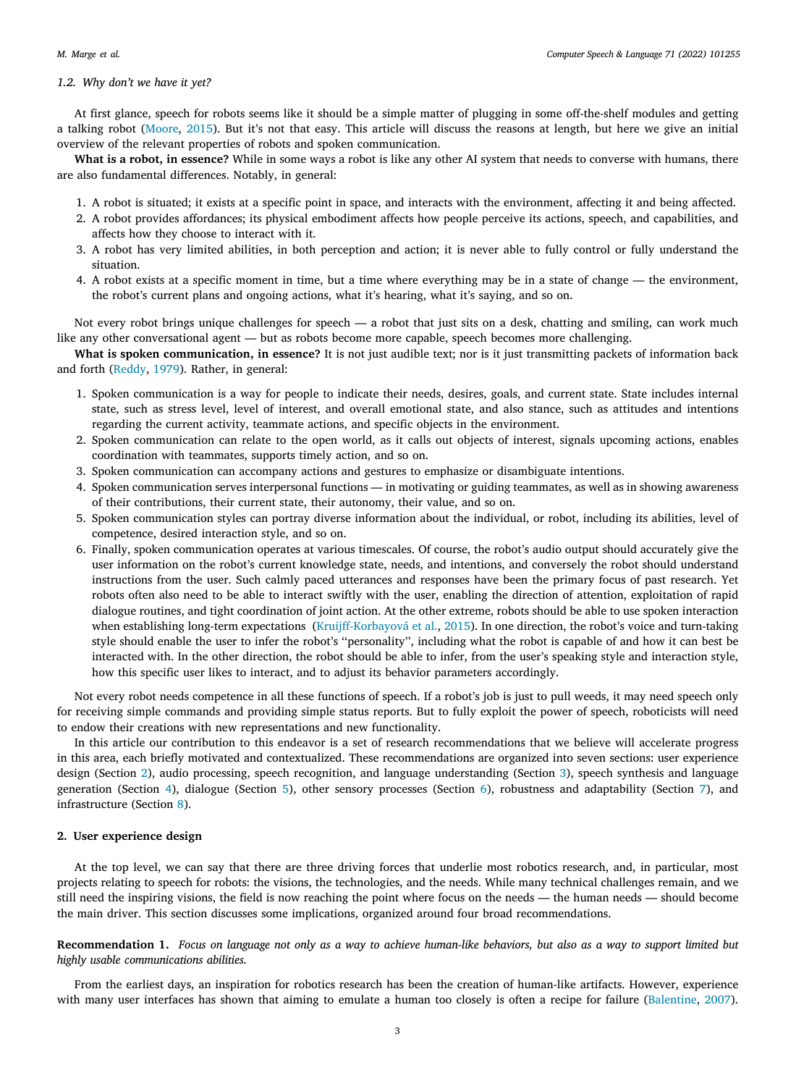#### *1.2. Why don't we have it yet?*

At first glance, speech for robots seems like it should be a simple matter of plugging in some off-the-shelf modules and getting a talking robot [\(Moore](#page-11-12), [2015\)](#page-11-12). But it's not that easy. This article will discuss the reasons at length, but here we give an initial overview of the relevant properties of robots and spoken communication.

**What is a robot, in essence?** While in some ways a robot is like any other AI system that needs to converse with humans, there are also fundamental differences. Notably, in general:

- 1. A robot is situated; it exists at a specific point in space, and interacts with the environment, affecting it and being affected.
- 2. A robot provides affordances; its physical embodiment affects how people perceive its actions, speech, and capabilities, and affects how they choose to interact with it.
- 3. A robot has very limited abilities, in both perception and action; it is never able to fully control or fully understand the situation.
- 4. A robot exists at a specific moment in time, but a time where everything may be in a state of change the environment, the robot's current plans and ongoing actions, what it's hearing, what it's saying, and so on.

Not every robot brings unique challenges for speech  $-$  a robot that just sits on a desk, chatting and smiling, can work much like any other conversational agent — but as robots become more capable, speech becomes more challenging.

**What is spoken communication, in essence?** It is not just audible text; nor is it just transmitting packets of information back and forth ([Reddy,](#page-12-5) [1979\)](#page-12-5). Rather, in general:

- 1. Spoken communication is a way for people to indicate their needs, desires, goals, and current state. State includes internal state, such as stress level, level of interest, and overall emotional state, and also stance, such as attitudes and intentions regarding the current activity, teammate actions, and specific objects in the environment.
- 2. Spoken communication can relate to the open world, as it calls out objects of interest, signals upcoming actions, enables coordination with teammates, supports timely action, and so on.
- 3. Spoken communication can accompany actions and gestures to emphasize or disambiguate intentions.
- 4. Spoken communication serves interpersonal functions in motivating or guiding teammates, as well as in showing awareness of their contributions, their current state, their autonomy, their value, and so on.
- 5. Spoken communication styles can portray diverse information about the individual, or robot, including its abilities, level of competence, desired interaction style, and so on.
- 6. Finally, spoken communication operates at various timescales. Of course, the robot's audio output should accurately give the user information on the robot's current knowledge state, needs, and intentions, and conversely the robot should understand instructions from the user. Such calmly paced utterances and responses have been the primary focus of past research. Yet robots often also need to be able to interact swiftly with the user, enabling the direction of attention, exploitation of rapid dialogue routines, and tight coordination of joint action. At the other extreme, robots should be able to use spoken interaction when establishing long-term expectations ([Kruijff-Korbayová et al.](#page-11-13), [2015\)](#page-11-13). In one direction, the robot's voice and turn-taking style should enable the user to infer the robot's ''personality'', including what the robot is capable of and how it can best be interacted with. In the other direction, the robot should be able to infer, from the user's speaking style and interaction style, how this specific user likes to interact, and to adjust its behavior parameters accordingly.

Not every robot needs competence in all these functions of speech. If a robot's job is just to pull weeds, it may need speech only for receiving simple commands and providing simple status reports. But to fully exploit the power of speech, roboticists will need to endow their creations with new representations and new functionality.

In this article our contribution to this endeavor is a set of research recommendations that we believe will accelerate progress in this area, each briefly motivated and contextualized. These recommendations are organized into seven sections: user experience design (Section [2\)](#page-2-0), audio processing, speech recognition, and language understanding (Section [3](#page-3-0)), speech synthesis and language generation (Section [4\)](#page-5-0), dialogue (Section [5\)](#page-6-0), other sensory processes (Section [6\)](#page-7-0), robustness and adaptability (Section [7\)](#page-8-0), and infrastructure (Section [8\)](#page-10-0).

## **2. User experience design**

<span id="page-2-0"></span>At the top level, we can say that there are three driving forces that underlie most robotics research, and, in particular, most projects relating to speech for robots: the visions, the technologies, and the needs. While many technical challenges remain, and we still need the inspiring visions, the field is now reaching the point where focus on the needs — the human needs — should become the main driver. This section discusses some implications, organized around four broad recommendations.

**Recommendation 1.** *Focus on language not only as a way to achieve human-like behaviors, but also as a way to support limited but highly usable communications abilities.*

From the earliest days, an inspiration for robotics research has been the creation of human-like artifacts. However, experience with many user interfaces has shown that aiming to emulate a human too closely is often a recipe for failure [\(Balentine,](#page-11-14) [2007\)](#page-11-14).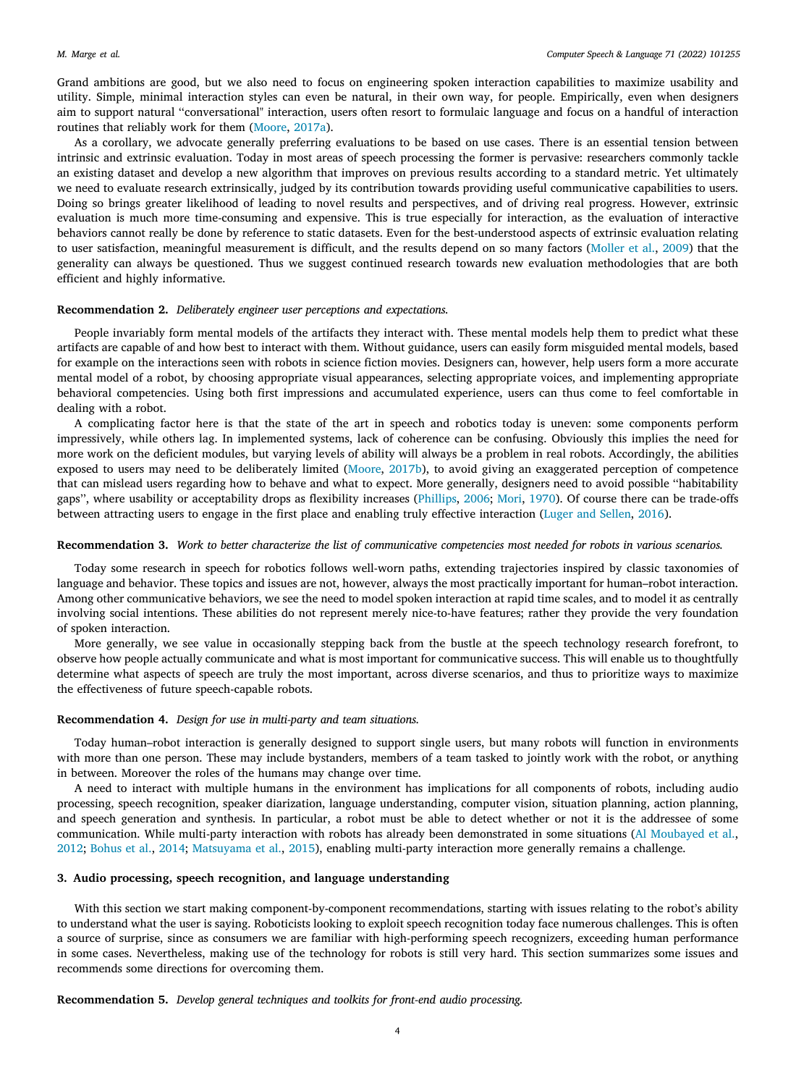Grand ambitions are good, but we also need to focus on engineering spoken interaction capabilities to maximize usability and utility. Simple, minimal interaction styles can even be natural, in their own way, for people. Empirically, even when designers aim to support natural ''conversational" interaction, users often resort to formulaic language and focus on a handful of interaction routines that reliably work for them ([Moore](#page-12-6), [2017a\)](#page-12-6).

As a corollary, we advocate generally preferring evaluations to be based on use cases. There is an essential tension between intrinsic and extrinsic evaluation. Today in most areas of speech processing the former is pervasive: researchers commonly tackle an existing dataset and develop a new algorithm that improves on previous results according to a standard metric. Yet ultimately we need to evaluate research extrinsically, judged by its contribution towards providing useful communicative capabilities to users. Doing so brings greater likelihood of leading to novel results and perspectives, and of driving real progress. However, extrinsic evaluation is much more time-consuming and expensive. This is true especially for interaction, as the evaluation of interactive behaviors cannot really be done by reference to static datasets. Even for the best-understood aspects of extrinsic evaluation relating to user satisfaction, meaningful measurement is difficult, and the results depend on so many factors ([Moller et al.,](#page-11-15) [2009\)](#page-11-15) that the generality can always be questioned. Thus we suggest continued research towards new evaluation methodologies that are both efficient and highly informative.

#### **Recommendation 2.** *Deliberately engineer user perceptions and expectations.*

People invariably form mental models of the artifacts they interact with. These mental models help them to predict what these artifacts are capable of and how best to interact with them. Without guidance, users can easily form misguided mental models, based for example on the interactions seen with robots in science fiction movies. Designers can, however, help users form a more accurate mental model of a robot, by choosing appropriate visual appearances, selecting appropriate voices, and implementing appropriate behavioral competencies. Using both first impressions and accumulated experience, users can thus come to feel comfortable in dealing with a robot.

A complicating factor here is that the state of the art in speech and robotics today is uneven: some components perform impressively, while others lag. In implemented systems, lack of coherence can be confusing. Obviously this implies the need for more work on the deficient modules, but varying levels of ability will always be a problem in real robots. Accordingly, the abilities exposed to users may need to be deliberately limited ([Moore,](#page-12-7) [2017b\)](#page-12-7), to avoid giving an exaggerated perception of competence that can mislead users regarding how to behave and what to expect. More generally, designers need to avoid possible ''habitability gaps'', where usability or acceptability drops as flexibility increases ([Phillips](#page-12-8), [2006](#page-12-8); [Mori,](#page-12-9) [1970\)](#page-12-9). Of course there can be trade-offs between attracting users to engage in the first place and enabling truly effective interaction ([Luger and Sellen,](#page-11-16) [2016\)](#page-11-16).

#### **Recommendation 3.** *Work to better characterize the list of communicative competencies most needed for robots in various scenarios.*

Today some research in speech for robotics follows well-worn paths, extending trajectories inspired by classic taxonomies of language and behavior. These topics and issues are not, however, always the most practically important for human–robot interaction. Among other communicative behaviors, we see the need to model spoken interaction at rapid time scales, and to model it as centrally involving social intentions. These abilities do not represent merely nice-to-have features; rather they provide the very foundation of spoken interaction.

More generally, we see value in occasionally stepping back from the bustle at the speech technology research forefront, to observe how people actually communicate and what is most important for communicative success. This will enable us to thoughtfully determine what aspects of speech are truly the most important, across diverse scenarios, and thus to prioritize ways to maximize the effectiveness of future speech-capable robots.

## **Recommendation 4.** *Design for use in multi-party and team situations.*

Today human–robot interaction is generally designed to support single users, but many robots will function in environments with more than one person. These may include bystanders, members of a team tasked to jointly work with the robot, or anything in between. Moreover the roles of the humans may change over time.

A need to interact with multiple humans in the environment has implications for all components of robots, including audio processing, speech recognition, speaker diarization, language understanding, computer vision, situation planning, action planning, and speech generation and synthesis. In particular, a robot must be able to detect whether or not it is the addressee of some communication. While multi-party interaction with robots has already been demonstrated in some situations ([Al Moubayed et al.,](#page-11-17) [2012;](#page-11-17) [Bohus et al.,](#page-11-18) [2014;](#page-11-18) [Matsuyama et al.,](#page-11-19) [2015\)](#page-11-19), enabling multi-party interaction more generally remains a challenge.

#### **3. Audio processing, speech recognition, and language understanding**

<span id="page-3-0"></span>With this section we start making component-by-component recommendations, starting with issues relating to the robot's ability to understand what the user is saying. Roboticists looking to exploit speech recognition today face numerous challenges. This is often a source of surprise, since as consumers we are familiar with high-performing speech recognizers, exceeding human performance in some cases. Nevertheless, making use of the technology for robots is still very hard. This section summarizes some issues and recommends some directions for overcoming them.

**Recommendation 5.** *Develop general techniques and toolkits for front-end audio processing.*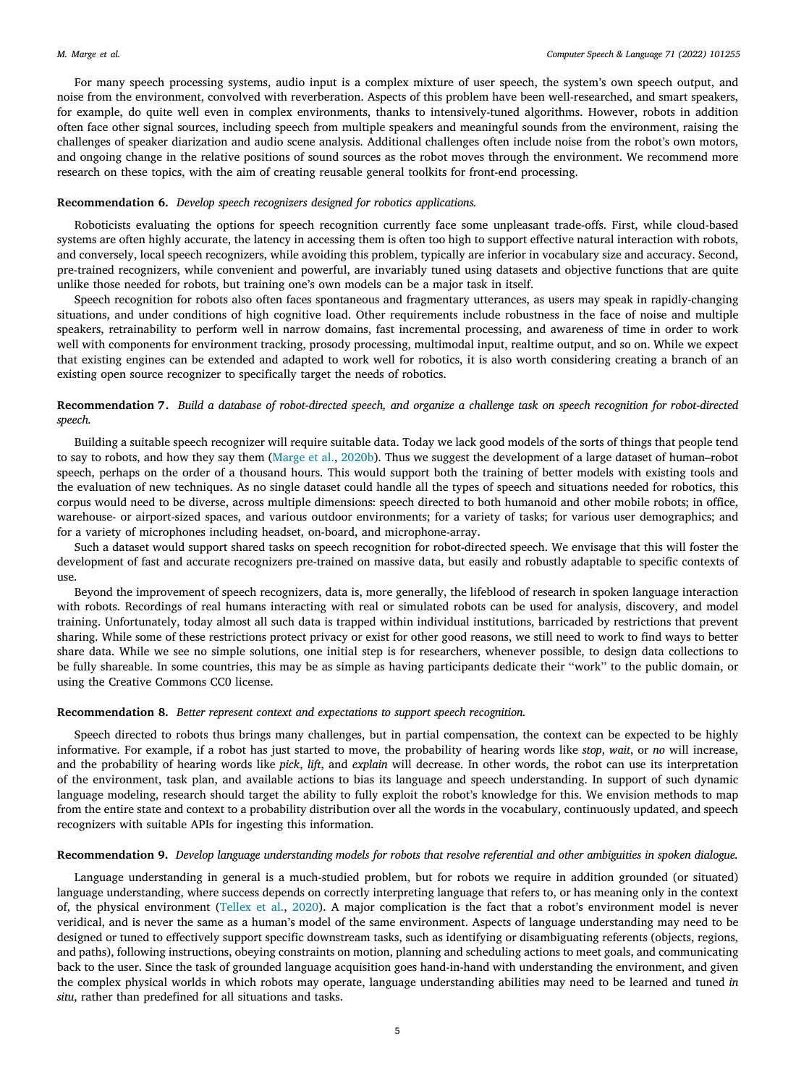For many speech processing systems, audio input is a complex mixture of user speech, the system's own speech output, and noise from the environment, convolved with reverberation. Aspects of this problem have been well-researched, and smart speakers, for example, do quite well even in complex environments, thanks to intensively-tuned algorithms. However, robots in addition often face other signal sources, including speech from multiple speakers and meaningful sounds from the environment, raising the challenges of speaker diarization and audio scene analysis. Additional challenges often include noise from the robot's own motors, and ongoing change in the relative positions of sound sources as the robot moves through the environment. We recommend more research on these topics, with the aim of creating reusable general toolkits for front-end processing.

### **Recommendation 6.** *Develop speech recognizers designed for robotics applications.*

Roboticists evaluating the options for speech recognition currently face some unpleasant trade-offs. First, while cloud-based systems are often highly accurate, the latency in accessing them is often too high to support effective natural interaction with robots, and conversely, local speech recognizers, while avoiding this problem, typically are inferior in vocabulary size and accuracy. Second, pre-trained recognizers, while convenient and powerful, are invariably tuned using datasets and objective functions that are quite unlike those needed for robots, but training one's own models can be a major task in itself.

Speech recognition for robots also often faces spontaneous and fragmentary utterances, as users may speak in rapidly-changing situations, and under conditions of high cognitive load. Other requirements include robustness in the face of noise and multiple speakers, retrainability to perform well in narrow domains, fast incremental processing, and awareness of time in order to work well with components for environment tracking, prosody processing, multimodal input, realtime output, and so on. While we expect that existing engines can be extended and adapted to work well for robotics, it is also worth considering creating a branch of an existing open source recognizer to specifically target the needs of robotics.

## **Recommendation 7.** *Build a database of robot-directed speech, and organize a challenge task on speech recognition for robot-directed speech.*

Building a suitable speech recognizer will require suitable data. Today we lack good models of the sorts of things that people tend to say to robots, and how they say them [\(Marge et al.,](#page-11-20) [2020b\)](#page-11-20). Thus we suggest the development of a large dataset of human–robot speech, perhaps on the order of a thousand hours. This would support both the training of better models with existing tools and the evaluation of new techniques. As no single dataset could handle all the types of speech and situations needed for robotics, this corpus would need to be diverse, across multiple dimensions: speech directed to both humanoid and other mobile robots; in office, warehouse- or airport-sized spaces, and various outdoor environments; for a variety of tasks; for various user demographics; and for a variety of microphones including headset, on-board, and microphone-array.

Such a dataset would support shared tasks on speech recognition for robot-directed speech. We envisage that this will foster the development of fast and accurate recognizers pre-trained on massive data, but easily and robustly adaptable to specific contexts of use.

Beyond the improvement of speech recognizers, data is, more generally, the lifeblood of research in spoken language interaction with robots. Recordings of real humans interacting with real or simulated robots can be used for analysis, discovery, and model training. Unfortunately, today almost all such data is trapped within individual institutions, barricaded by restrictions that prevent sharing. While some of these restrictions protect privacy or exist for other good reasons, we still need to work to find ways to better share data. While we see no simple solutions, one initial step is for researchers, whenever possible, to design data collections to be fully shareable. In some countries, this may be as simple as having participants dedicate their ''work'' to the public domain, or using the Creative Commons CC0 license.

## **Recommendation 8.** *Better represent context and expectations to support speech recognition.*

Speech directed to robots thus brings many challenges, but in partial compensation, the context can be expected to be highly informative. For example, if a robot has just started to move, the probability of hearing words like *stop*, *wait*, or *no* will increase, and the probability of hearing words like *pick*, *lift*, and *explain* will decrease. In other words, the robot can use its interpretation of the environment, task plan, and available actions to bias its language and speech understanding. In support of such dynamic language modeling, research should target the ability to fully exploit the robot's knowledge for this. We envision methods to map from the entire state and context to a probability distribution over all the words in the vocabulary, continuously updated, and speech recognizers with suitable APIs for ingesting this information.

## **Recommendation 9.** *Develop language understanding models for robots that resolve referential and other ambiguities in spoken dialogue.*

Language understanding in general is a much-studied problem, but for robots we require in addition grounded (or situated) language understanding, where success depends on correctly interpreting language that refers to, or has meaning only in the context of, the physical environment [\(Tellex et al.](#page-12-10), [2020\)](#page-12-10). A major complication is the fact that a robot's environment model is never veridical, and is never the same as a human's model of the same environment. Aspects of language understanding may need to be designed or tuned to effectively support specific downstream tasks, such as identifying or disambiguating referents (objects, regions, and paths), following instructions, obeying constraints on motion, planning and scheduling actions to meet goals, and communicating back to the user. Since the task of grounded language acquisition goes hand-in-hand with understanding the environment, and given the complex physical worlds in which robots may operate, language understanding abilities may need to be learned and tuned *in situ*, rather than predefined for all situations and tasks.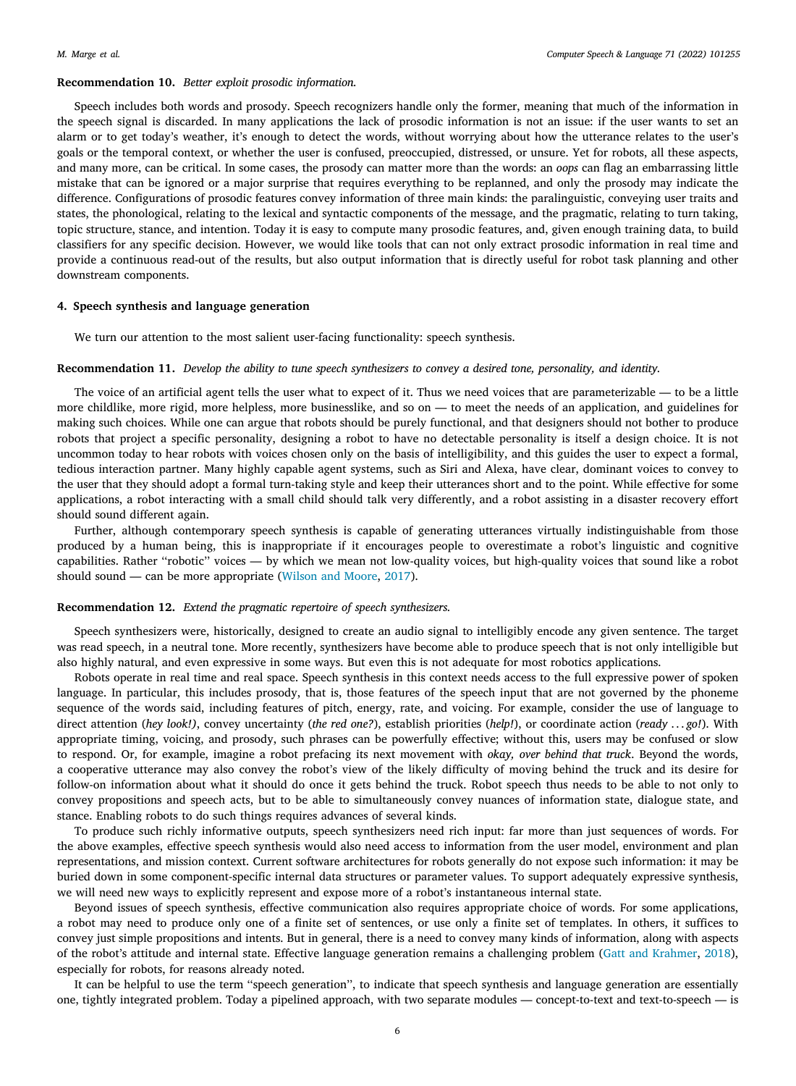#### **Recommendation 10.** *Better exploit prosodic information.*

Speech includes both words and prosody. Speech recognizers handle only the former, meaning that much of the information in the speech signal is discarded. In many applications the lack of prosodic information is not an issue: if the user wants to set an alarm or to get today's weather, it's enough to detect the words, without worrying about how the utterance relates to the user's goals or the temporal context, or whether the user is confused, preoccupied, distressed, or unsure. Yet for robots, all these aspects, and many more, can be critical. In some cases, the prosody can matter more than the words: an *oops* can flag an embarrassing little mistake that can be ignored or a major surprise that requires everything to be replanned, and only the prosody may indicate the difference. Configurations of prosodic features convey information of three main kinds: the paralinguistic, conveying user traits and states, the phonological, relating to the lexical and syntactic components of the message, and the pragmatic, relating to turn taking, topic structure, stance, and intention. Today it is easy to compute many prosodic features, and, given enough training data, to build classifiers for any specific decision. However, we would like tools that can not only extract prosodic information in real time and provide a continuous read-out of the results, but also output information that is directly useful for robot task planning and other downstream components.

#### **4. Speech synthesis and language generation**

<span id="page-5-0"></span>We turn our attention to the most salient user-facing functionality: speech synthesis.

## **Recommendation 11.** *Develop the ability to tune speech synthesizers to convey a desired tone, personality, and identity.*

The voice of an artificial agent tells the user what to expect of it. Thus we need voices that are parameterizable — to be a little more childlike, more rigid, more helpless, more businesslike, and so on — to meet the needs of an application, and guidelines for making such choices. While one can argue that robots should be purely functional, and that designers should not bother to produce robots that project a specific personality, designing a robot to have no detectable personality is itself a design choice. It is not uncommon today to hear robots with voices chosen only on the basis of intelligibility, and this guides the user to expect a formal, tedious interaction partner. Many highly capable agent systems, such as Siri and Alexa, have clear, dominant voices to convey to the user that they should adopt a formal turn-taking style and keep their utterances short and to the point. While effective for some applications, a robot interacting with a small child should talk very differently, and a robot assisting in a disaster recovery effort should sound different again.

Further, although contemporary speech synthesis is capable of generating utterances virtually indistinguishable from those produced by a human being, this is inappropriate if it encourages people to overestimate a robot's linguistic and cognitive capabilities. Rather ''robotic'' voices — by which we mean not low-quality voices, but high-quality voices that sound like a robot should sound — can be more appropriate ([Wilson and Moore](#page-12-11), [2017\)](#page-12-11).

#### **Recommendation 12.** *Extend the pragmatic repertoire of speech synthesizers.*

Speech synthesizers were, historically, designed to create an audio signal to intelligibly encode any given sentence. The target was read speech, in a neutral tone. More recently, synthesizers have become able to produce speech that is not only intelligible but also highly natural, and even expressive in some ways. But even this is not adequate for most robotics applications.

Robots operate in real time and real space. Speech synthesis in this context needs access to the full expressive power of spoken language. In particular, this includes prosody, that is, those features of the speech input that are not governed by the phoneme sequence of the words said, including features of pitch, energy, rate, and voicing. For example, consider the use of language to direct attention (*hey look!)*, convey uncertainty (*the red one?*), establish priorities (*help!*), or coordinate action (*ready . . . go!*). With appropriate timing, voicing, and prosody, such phrases can be powerfully effective; without this, users may be confused or slow to respond. Or, for example, imagine a robot prefacing its next movement with *okay, over behind that truck*. Beyond the words, a cooperative utterance may also convey the robot's view of the likely difficulty of moving behind the truck and its desire for follow-on information about what it should do once it gets behind the truck. Robot speech thus needs to be able to not only to convey propositions and speech acts, but to be able to simultaneously convey nuances of information state, dialogue state, and stance. Enabling robots to do such things requires advances of several kinds.

To produce such richly informative outputs, speech synthesizers need rich input: far more than just sequences of words. For the above examples, effective speech synthesis would also need access to information from the user model, environment and plan representations, and mission context. Current software architectures for robots generally do not expose such information: it may be buried down in some component-specific internal data structures or parameter values. To support adequately expressive synthesis, we will need new ways to explicitly represent and expose more of a robot's instantaneous internal state.

Beyond issues of speech synthesis, effective communication also requires appropriate choice of words. For some applications, a robot may need to produce only one of a finite set of sentences, or use only a finite set of templates. In others, it suffices to convey just simple propositions and intents. But in general, there is a need to convey many kinds of information, along with aspects of the robot's attitude and internal state. Effective language generation remains a challenging problem ([Gatt and Krahmer,](#page-11-21) [2018\)](#page-11-21), especially for robots, for reasons already noted.

It can be helpful to use the term ''speech generation'', to indicate that speech synthesis and language generation are essentially one, tightly integrated problem. Today a pipelined approach, with two separate modules — concept-to-text and text-to-speech — is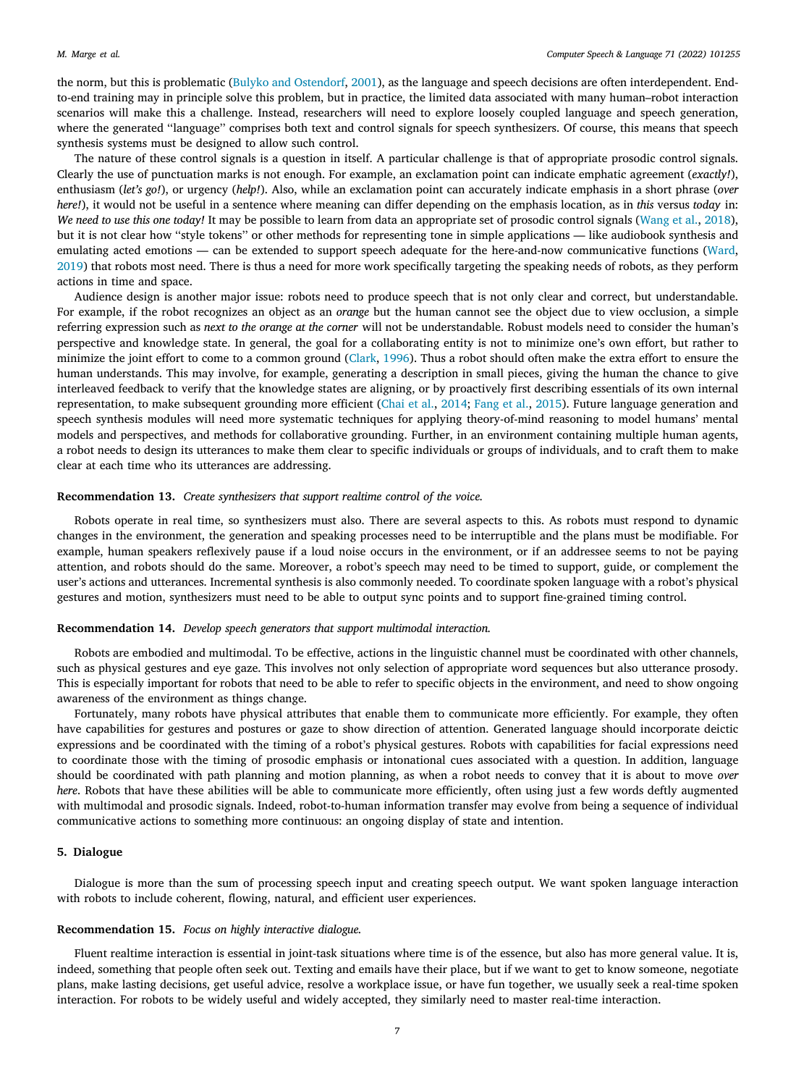the norm, but this is problematic [\(Bulyko and Ostendorf,](#page-11-22) [2001](#page-11-22)), as the language and speech decisions are often interdependent. Endto-end training may in principle solve this problem, but in practice, the limited data associated with many human–robot interaction scenarios will make this a challenge. Instead, researchers will need to explore loosely coupled language and speech generation, where the generated "language" comprises both text and control signals for speech synthesizers. Of course, this means that speech synthesis systems must be designed to allow such control.

The nature of these control signals is a question in itself. A particular challenge is that of appropriate prosodic control signals. Clearly the use of punctuation marks is not enough. For example, an exclamation point can indicate emphatic agreement (*exactly!*), enthusiasm (*let's go!*), or urgency (*help!*). Also, while an exclamation point can accurately indicate emphasis in a short phrase (*over here!*), it would not be useful in a sentence where meaning can differ depending on the emphasis location, as in *this* versus *today* in: *We need to use this one today!* It may be possible to learn from data an appropriate set of prosodic control signals ([Wang et al.,](#page-12-12) [2018\)](#page-12-12), but it is not clear how ''style tokens'' or other methods for representing tone in simple applications — like audiobook synthesis and emulating acted emotions — can be extended to support speech adequate for the here-and-now communicative functions ([Ward,](#page-12-13) [2019\)](#page-12-13) that robots most need. There is thus a need for more work specifically targeting the speaking needs of robots, as they perform actions in time and space.

Audience design is another major issue: robots need to produce speech that is not only clear and correct, but understandable. For example, if the robot recognizes an object as an *orange* but the human cannot see the object due to view occlusion, a simple referring expression such as *next to the orange at the corner* will not be understandable. Robust models need to consider the human's perspective and knowledge state. In general, the goal for a collaborating entity is not to minimize one's own effort, but rather to minimize the joint effort to come to a common ground ([Clark,](#page-11-23) [1996](#page-11-23)). Thus a robot should often make the extra effort to ensure the human understands. This may involve, for example, generating a description in small pieces, giving the human the chance to give interleaved feedback to verify that the knowledge states are aligning, or by proactively first describing essentials of its own internal representation, to make subsequent grounding more efficient ([Chai et al.,](#page-11-24) [2014;](#page-11-24) [Fang et al.,](#page-11-25) [2015](#page-11-25)). Future language generation and speech synthesis modules will need more systematic techniques for applying theory-of-mind reasoning to model humans' mental models and perspectives, and methods for collaborative grounding. Further, in an environment containing multiple human agents, a robot needs to design its utterances to make them clear to specific individuals or groups of individuals, and to craft them to make clear at each time who its utterances are addressing.

## **Recommendation 13.** *Create synthesizers that support realtime control of the voice.*

Robots operate in real time, so synthesizers must also. There are several aspects to this. As robots must respond to dynamic changes in the environment, the generation and speaking processes need to be interruptible and the plans must be modifiable. For example, human speakers reflexively pause if a loud noise occurs in the environment, or if an addressee seems to not be paying attention, and robots should do the same. Moreover, a robot's speech may need to be timed to support, guide, or complement the user's actions and utterances. Incremental synthesis is also commonly needed. To coordinate spoken language with a robot's physical gestures and motion, synthesizers must need to be able to output sync points and to support fine-grained timing control.

#### **Recommendation 14.** *Develop speech generators that support multimodal interaction.*

Robots are embodied and multimodal. To be effective, actions in the linguistic channel must be coordinated with other channels, such as physical gestures and eye gaze. This involves not only selection of appropriate word sequences but also utterance prosody. This is especially important for robots that need to be able to refer to specific objects in the environment, and need to show ongoing awareness of the environment as things change.

Fortunately, many robots have physical attributes that enable them to communicate more efficiently. For example, they often have capabilities for gestures and postures or gaze to show direction of attention. Generated language should incorporate deictic expressions and be coordinated with the timing of a robot's physical gestures. Robots with capabilities for facial expressions need to coordinate those with the timing of prosodic emphasis or intonational cues associated with a question. In addition, language should be coordinated with path planning and motion planning, as when a robot needs to convey that it is about to move *over here*. Robots that have these abilities will be able to communicate more efficiently, often using just a few words deftly augmented with multimodal and prosodic signals. Indeed, robot-to-human information transfer may evolve from being a sequence of individual communicative actions to something more continuous: an ongoing display of state and intention.

## **5. Dialogue**

<span id="page-6-0"></span>Dialogue is more than the sum of processing speech input and creating speech output. We want spoken language interaction with robots to include coherent, flowing, natural, and efficient user experiences.

#### **Recommendation 15.** *Focus on highly interactive dialogue.*

Fluent realtime interaction is essential in joint-task situations where time is of the essence, but also has more general value. It is, indeed, something that people often seek out. Texting and emails have their place, but if we want to get to know someone, negotiate plans, make lasting decisions, get useful advice, resolve a workplace issue, or have fun together, we usually seek a real-time spoken interaction. For robots to be widely useful and widely accepted, they similarly need to master real-time interaction.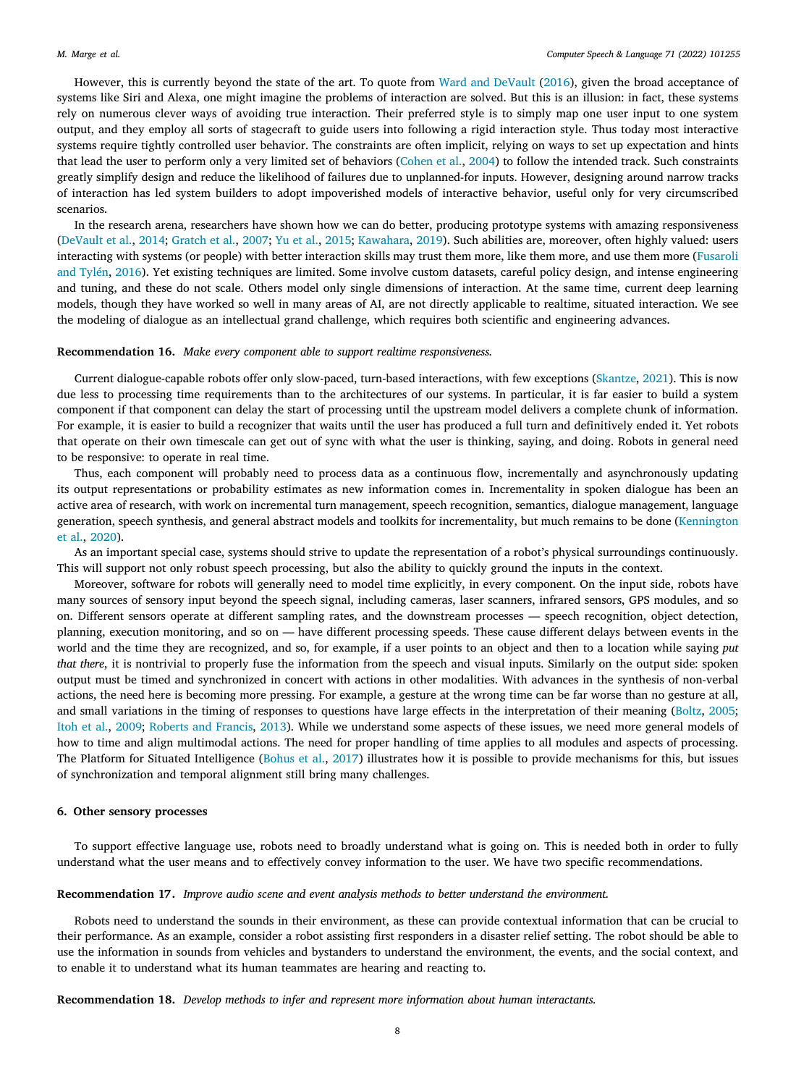However, this is currently beyond the state of the art. To quote from [Ward and DeVault](#page-12-1) ([2016\)](#page-12-1), given the broad acceptance of systems like Siri and Alexa, one might imagine the problems of interaction are solved. But this is an illusion: in fact, these systems rely on numerous clever ways of avoiding true interaction. Their preferred style is to simply map one user input to one system output, and they employ all sorts of stagecraft to guide users into following a rigid interaction style. Thus today most interactive systems require tightly controlled user behavior. The constraints are often implicit, relying on ways to set up expectation and hints that lead the user to perform only a very limited set of behaviors ([Cohen et al.,](#page-11-26) [2004\)](#page-11-26) to follow the intended track. Such constraints greatly simplify design and reduce the likelihood of failures due to unplanned-for inputs. However, designing around narrow tracks of interaction has led system builders to adopt impoverished models of interactive behavior, useful only for very circumscribed scenarios.

In the research arena, researchers have shown how we can do better, producing prototype systems with amazing responsiveness [\(DeVault et al.](#page-11-27), [2014;](#page-11-27) [Gratch et al.](#page-11-28), [2007;](#page-11-28) [Yu et al.,](#page-12-14) [2015](#page-12-14); [Kawahara](#page-11-29), [2019\)](#page-11-29). Such abilities are, moreover, often highly valued: users interacting with systems (or people) with better interaction skills may trust them more, like them more, and use them more ([Fusaroli](#page-11-30) [and Tylén](#page-11-30), [2016\)](#page-11-30). Yet existing techniques are limited. Some involve custom datasets, careful policy design, and intense engineering and tuning, and these do not scale. Others model only single dimensions of interaction. At the same time, current deep learning models, though they have worked so well in many areas of AI, are not directly applicable to realtime, situated interaction. We see the modeling of dialogue as an intellectual grand challenge, which requires both scientific and engineering advances.

#### **Recommendation 16.** *Make every component able to support realtime responsiveness.*

Current dialogue-capable robots offer only slow-paced, turn-based interactions, with few exceptions ([Skantze,](#page-12-15) [2021\)](#page-12-15). This is now due less to processing time requirements than to the architectures of our systems. In particular, it is far easier to build a system component if that component can delay the start of processing until the upstream model delivers a complete chunk of information. For example, it is easier to build a recognizer that waits until the user has produced a full turn and definitively ended it. Yet robots that operate on their own timescale can get out of sync with what the user is thinking, saying, and doing. Robots in general need to be responsive: to operate in real time.

Thus, each component will probably need to process data as a continuous flow, incrementally and asynchronously updating its output representations or probability estimates as new information comes in. Incrementality in spoken dialogue has been an active area of research, with work on incremental turn management, speech recognition, semantics, dialogue management, language generation, speech synthesis, and general abstract models and toolkits for incrementality, but much remains to be done ([Kennington](#page-11-31) [et al.,](#page-11-31) [2020\)](#page-11-31).

As an important special case, systems should strive to update the representation of a robot's physical surroundings continuously. This will support not only robust speech processing, but also the ability to quickly ground the inputs in the context.

Moreover, software for robots will generally need to model time explicitly, in every component. On the input side, robots have many sources of sensory input beyond the speech signal, including cameras, laser scanners, infrared sensors, GPS modules, and so on. Different sensors operate at different sampling rates, and the downstream processes — speech recognition, object detection, planning, execution monitoring, and so on — have different processing speeds. These cause different delays between events in the world and the time they are recognized, and so, for example, if a user points to an object and then to a location while saying *put that there*, it is nontrivial to properly fuse the information from the speech and visual inputs. Similarly on the output side: spoken output must be timed and synchronized in concert with actions in other modalities. With advances in the synthesis of non-verbal actions, the need here is becoming more pressing. For example, a gesture at the wrong time can be far worse than no gesture at all, and small variations in the timing of responses to questions have large effects in the interpretation of their meaning ([Boltz,](#page-11-32) [2005;](#page-11-32) [Itoh et al.](#page-11-33), [2009](#page-11-33); [Roberts and Francis,](#page-12-16) [2013\)](#page-12-16). While we understand some aspects of these issues, we need more general models of how to time and align multimodal actions. The need for proper handling of time applies to all modules and aspects of processing. The Platform for Situated Intelligence ([Bohus et al.](#page-11-34), [2017](#page-11-34)) illustrates how it is possible to provide mechanisms for this, but issues of synchronization and temporal alignment still bring many challenges.

## **6. Other sensory processes**

<span id="page-7-0"></span>To support effective language use, robots need to broadly understand what is going on. This is needed both in order to fully understand what the user means and to effectively convey information to the user. We have two specific recommendations.

**Recommendation 17.** *Improve audio scene and event analysis methods to better understand the environment.*

Robots need to understand the sounds in their environment, as these can provide contextual information that can be crucial to their performance. As an example, consider a robot assisting first responders in a disaster relief setting. The robot should be able to use the information in sounds from vehicles and bystanders to understand the environment, the events, and the social context, and to enable it to understand what its human teammates are hearing and reacting to.

**Recommendation 18.** *Develop methods to infer and represent more information about human interactants.*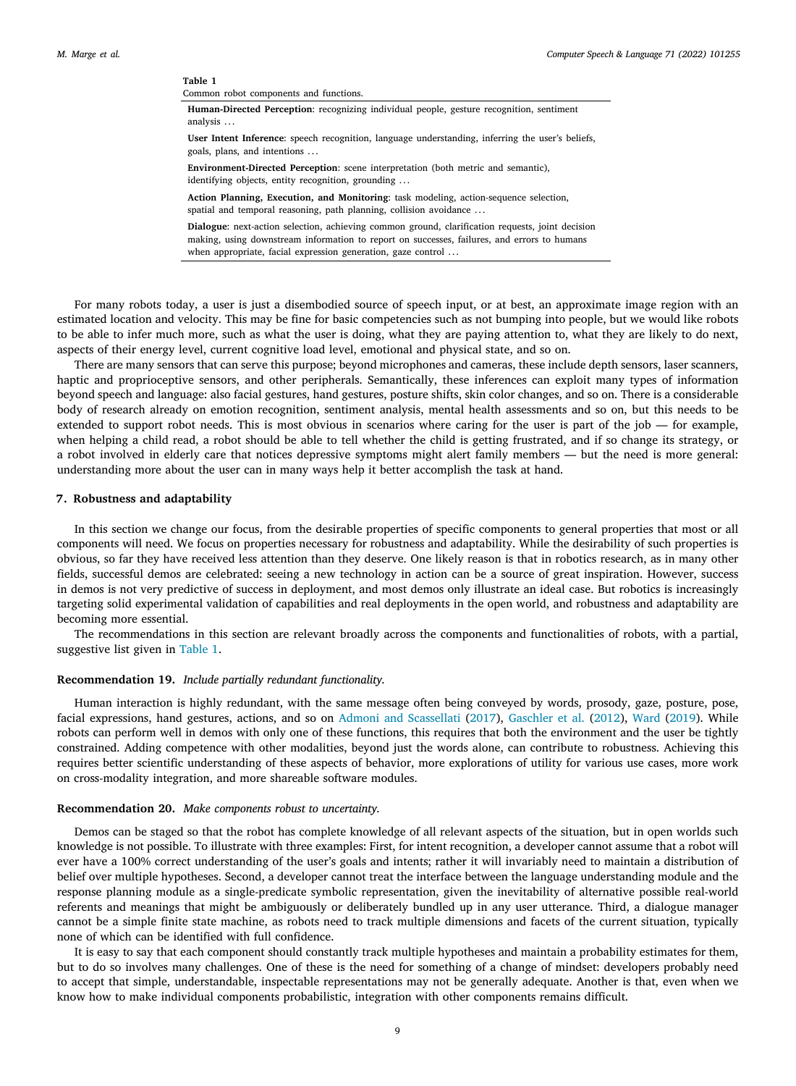<span id="page-8-1"></span>**Table 1** Common robot components and functions. **Human-Directed Perception**: recognizing individual people, gesture recognition, sentiment analysis .. . **User Intent Inference**: speech recognition, language understanding, inferring the user's beliefs, goals, plans, and intentions .. . **Environment-Directed Perception**: scene interpretation (both metric and semantic), identifying objects, entity recognition, grounding ... **Action Planning, Execution, and Monitoring**: task modeling, action-sequence selection, spatial and temporal reasoning, path planning, collision avoidance ... **Dialogue**: next-action selection, achieving common ground, clarification requests, joint decision making, using downstream information to report on successes, failures, and errors to humans when appropriate, facial expression generation, gaze control . ..

For many robots today, a user is just a disembodied source of speech input, or at best, an approximate image region with an estimated location and velocity. This may be fine for basic competencies such as not bumping into people, but we would like robots to be able to infer much more, such as what the user is doing, what they are paying attention to, what they are likely to do next, aspects of their energy level, current cognitive load level, emotional and physical state, and so on.

There are many sensors that can serve this purpose; beyond microphones and cameras, these include depth sensors, laser scanners, haptic and proprioceptive sensors, and other peripherals. Semantically, these inferences can exploit many types of information beyond speech and language: also facial gestures, hand gestures, posture shifts, skin color changes, and so on. There is a considerable body of research already on emotion recognition, sentiment analysis, mental health assessments and so on, but this needs to be extended to support robot needs. This is most obvious in scenarios where caring for the user is part of the job — for example, when helping a child read, a robot should be able to tell whether the child is getting frustrated, and if so change its strategy, or a robot involved in elderly care that notices depressive symptoms might alert family members — but the need is more general: understanding more about the user can in many ways help it better accomplish the task at hand.

## **7. Robustness and adaptability**

<span id="page-8-0"></span>In this section we change our focus, from the desirable properties of specific components to general properties that most or all components will need. We focus on properties necessary for robustness and adaptability. While the desirability of such properties is obvious, so far they have received less attention than they deserve. One likely reason is that in robotics research, as in many other fields, successful demos are celebrated: seeing a new technology in action can be a source of great inspiration. However, success in demos is not very predictive of success in deployment, and most demos only illustrate an ideal case. But robotics is increasingly targeting solid experimental validation of capabilities and real deployments in the open world, and robustness and adaptability are becoming more essential.

The recommendations in this section are relevant broadly across the components and functionalities of robots, with a partial, suggestive list given in [Table](#page-8-1) [1.](#page-8-1)

#### **Recommendation 19.** *Include partially redundant functionality.*

Human interaction is highly redundant, with the same message often being conveyed by words, prosody, gaze, posture, pose, facial expressions, hand gestures, actions, and so on [Admoni and Scassellati](#page-11-35) ([2017](#page-11-35)), [Gaschler et al.](#page-11-36) ([2012\)](#page-11-36), [Ward](#page-12-13) ([2019\)](#page-12-13). While robots can perform well in demos with only one of these functions, this requires that both the environment and the user be tightly constrained. Adding competence with other modalities, beyond just the words alone, can contribute to robustness. Achieving this requires better scientific understanding of these aspects of behavior, more explorations of utility for various use cases, more work on cross-modality integration, and more shareable software modules.

#### **Recommendation 20.** *Make components robust to uncertainty.*

Demos can be staged so that the robot has complete knowledge of all relevant aspects of the situation, but in open worlds such knowledge is not possible. To illustrate with three examples: First, for intent recognition, a developer cannot assume that a robot will ever have a 100% correct understanding of the user's goals and intents; rather it will invariably need to maintain a distribution of belief over multiple hypotheses. Second, a developer cannot treat the interface between the language understanding module and the response planning module as a single-predicate symbolic representation, given the inevitability of alternative possible real-world referents and meanings that might be ambiguously or deliberately bundled up in any user utterance. Third, a dialogue manager cannot be a simple finite state machine, as robots need to track multiple dimensions and facets of the current situation, typically none of which can be identified with full confidence.

It is easy to say that each component should constantly track multiple hypotheses and maintain a probability estimates for them, but to do so involves many challenges. One of these is the need for something of a change of mindset: developers probably need to accept that simple, understandable, inspectable representations may not be generally adequate. Another is that, even when we know how to make individual components probabilistic, integration with other components remains difficult.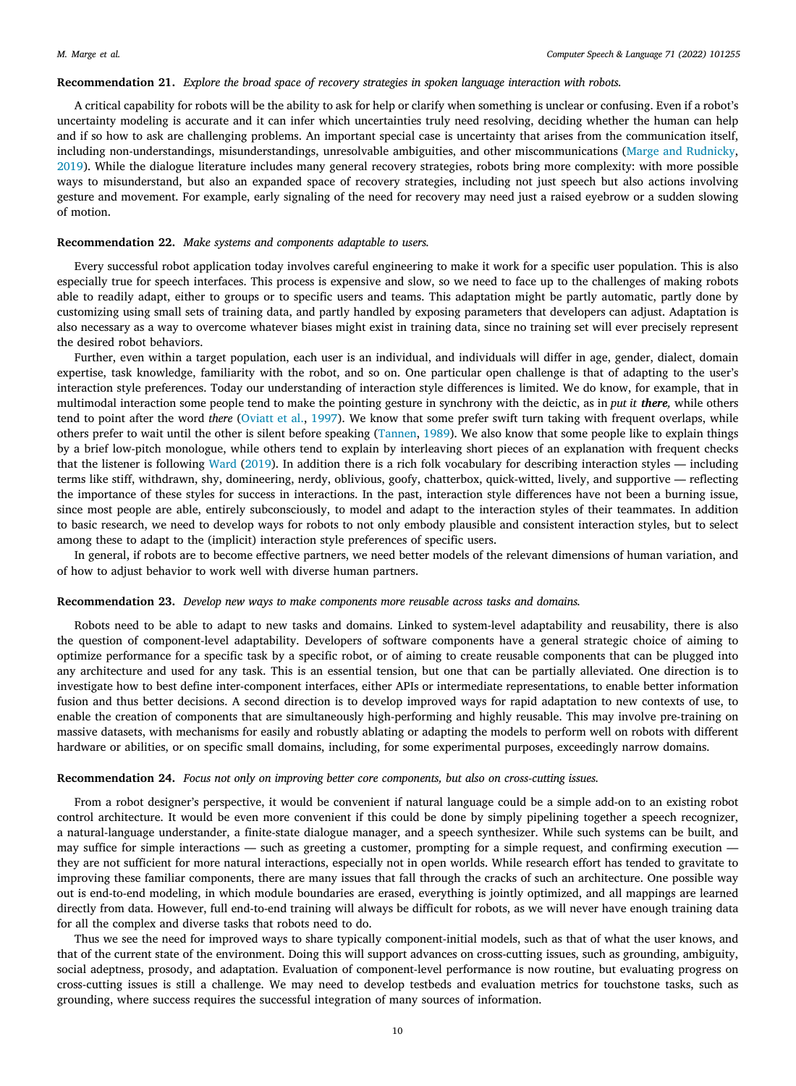#### **Recommendation 21.** *Explore the broad space of recovery strategies in spoken language interaction with robots.*

A critical capability for robots will be the ability to ask for help or clarify when something is unclear or confusing. Even if a robot's uncertainty modeling is accurate and it can infer which uncertainties truly need resolving, deciding whether the human can help and if so how to ask are challenging problems. An important special case is uncertainty that arises from the communication itself, including non-understandings, misunderstandings, unresolvable ambiguities, and other miscommunications ([Marge and Rudnicky,](#page-11-37) [2019\)](#page-11-37). While the dialogue literature includes many general recovery strategies, robots bring more complexity: with more possible ways to misunderstand, but also an expanded space of recovery strategies, including not just speech but also actions involving gesture and movement. For example, early signaling of the need for recovery may need just a raised eyebrow or a sudden slowing of motion.

#### **Recommendation 22.** *Make systems and components adaptable to users.*

Every successful robot application today involves careful engineering to make it work for a specific user population. This is also especially true for speech interfaces. This process is expensive and slow, so we need to face up to the challenges of making robots able to readily adapt, either to groups or to specific users and teams. This adaptation might be partly automatic, partly done by customizing using small sets of training data, and partly handled by exposing parameters that developers can adjust. Adaptation is also necessary as a way to overcome whatever biases might exist in training data, since no training set will ever precisely represent the desired robot behaviors.

Further, even within a target population, each user is an individual, and individuals will differ in age, gender, dialect, domain expertise, task knowledge, familiarity with the robot, and so on. One particular open challenge is that of adapting to the user's interaction style preferences. Today our understanding of interaction style differences is limited. We do know, for example, that in multimodal interaction some people tend to make the pointing gesture in synchrony with the deictic, as in *put it there,* while others tend to point after the word *there* [\(Oviatt et al.,](#page-12-17) [1997\)](#page-12-17). We know that some prefer swift turn taking with frequent overlaps, while others prefer to wait until the other is silent before speaking ([Tannen,](#page-12-18) [1989\)](#page-12-18). We also know that some people like to explain things by a brief low-pitch monologue, while others tend to explain by interleaving short pieces of an explanation with frequent checks that the listener is following [Ward](#page-12-13) ([2019\)](#page-12-13). In addition there is a rich folk vocabulary for describing interaction styles — including terms like stiff, withdrawn, shy, domineering, nerdy, oblivious, goofy, chatterbox, quick-witted, lively, and supportive — reflecting the importance of these styles for success in interactions. In the past, interaction style differences have not been a burning issue, since most people are able, entirely subconsciously, to model and adapt to the interaction styles of their teammates. In addition to basic research, we need to develop ways for robots to not only embody plausible and consistent interaction styles, but to select among these to adapt to the (implicit) interaction style preferences of specific users.

In general, if robots are to become effective partners, we need better models of the relevant dimensions of human variation, and of how to adjust behavior to work well with diverse human partners.

#### **Recommendation 23.** *Develop new ways to make components more reusable across tasks and domains.*

Robots need to be able to adapt to new tasks and domains. Linked to system-level adaptability and reusability, there is also the question of component-level adaptability. Developers of software components have a general strategic choice of aiming to optimize performance for a specific task by a specific robot, or of aiming to create reusable components that can be plugged into any architecture and used for any task. This is an essential tension, but one that can be partially alleviated. One direction is to investigate how to best define inter-component interfaces, either APIs or intermediate representations, to enable better information fusion and thus better decisions. A second direction is to develop improved ways for rapid adaptation to new contexts of use, to enable the creation of components that are simultaneously high-performing and highly reusable. This may involve pre-training on massive datasets, with mechanisms for easily and robustly ablating or adapting the models to perform well on robots with different hardware or abilities, or on specific small domains, including, for some experimental purposes, exceedingly narrow domains.

#### **Recommendation 24.** *Focus not only on improving better core components, but also on cross-cutting issues.*

From a robot designer's perspective, it would be convenient if natural language could be a simple add-on to an existing robot control architecture. It would be even more convenient if this could be done by simply pipelining together a speech recognizer, a natural-language understander, a finite-state dialogue manager, and a speech synthesizer. While such systems can be built, and may suffice for simple interactions — such as greeting a customer, prompting for a simple request, and confirming execution they are not sufficient for more natural interactions, especially not in open worlds. While research effort has tended to gravitate to improving these familiar components, there are many issues that fall through the cracks of such an architecture. One possible way out is end-to-end modeling, in which module boundaries are erased, everything is jointly optimized, and all mappings are learned directly from data. However, full end-to-end training will always be difficult for robots, as we will never have enough training data for all the complex and diverse tasks that robots need to do.

Thus we see the need for improved ways to share typically component-initial models, such as that of what the user knows, and that of the current state of the environment. Doing this will support advances on cross-cutting issues, such as grounding, ambiguity, social adeptness, prosody, and adaptation. Evaluation of component-level performance is now routine, but evaluating progress on cross-cutting issues is still a challenge. We may need to develop testbeds and evaluation metrics for touchstone tasks, such as grounding, where success requires the successful integration of many sources of information.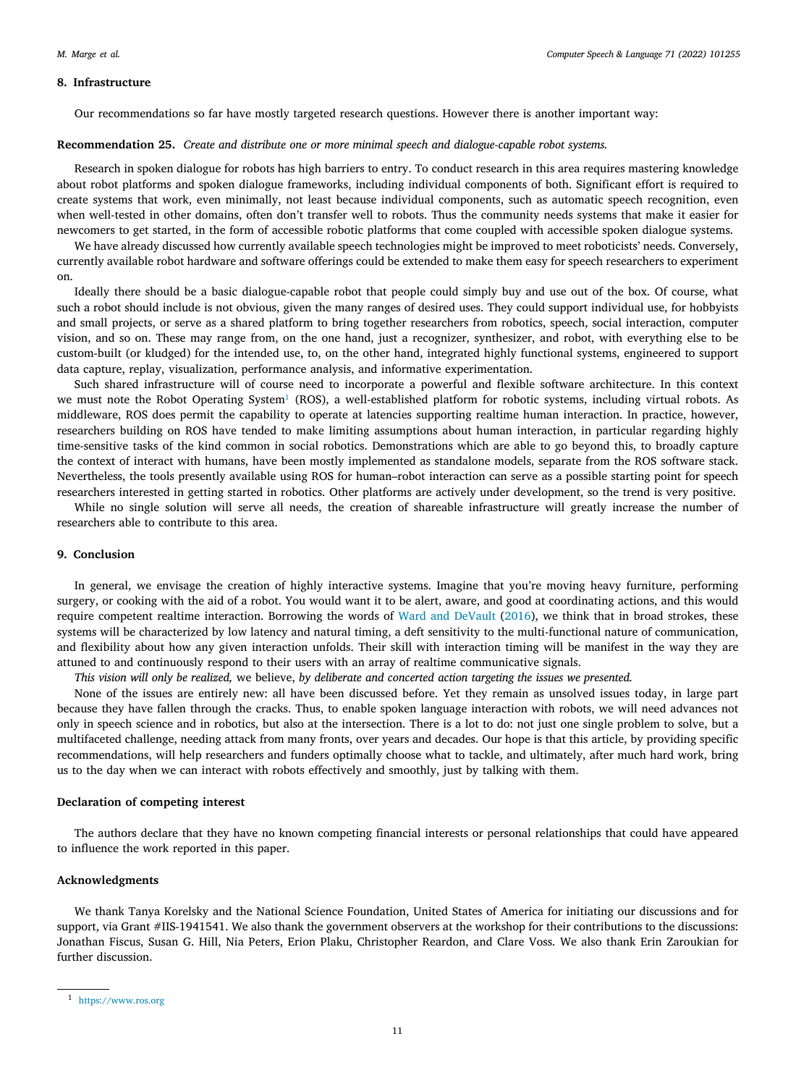#### **8. Infrastructure**

<span id="page-10-0"></span>Our recommendations so far have mostly targeted research questions. However there is another important way:

#### **Recommendation 25.** *Create and distribute one or more minimal speech and dialogue-capable robot systems.*

Research in spoken dialogue for robots has high barriers to entry. To conduct research in this area requires mastering knowledge about robot platforms and spoken dialogue frameworks, including individual components of both. Significant effort is required to create systems that work, even minimally, not least because individual components, such as automatic speech recognition, even when well-tested in other domains, often don't transfer well to robots. Thus the community needs systems that make it easier for newcomers to get started, in the form of accessible robotic platforms that come coupled with accessible spoken dialogue systems.

We have already discussed how currently available speech technologies might be improved to meet roboticists' needs. Conversely, currently available robot hardware and software offerings could be extended to make them easy for speech researchers to experiment on.

Ideally there should be a basic dialogue-capable robot that people could simply buy and use out of the box. Of course, what such a robot should include is not obvious, given the many ranges of desired uses. They could support individual use, for hobbyists and small projects, or serve as a shared platform to bring together researchers from robotics, speech, social interaction, computer vision, and so on. These may range from, on the one hand, just a recognizer, synthesizer, and robot, with everything else to be custom-built (or kludged) for the intended use, to, on the other hand, integrated highly functional systems, engineered to support data capture, replay, visualization, performance analysis, and informative experimentation.

<span id="page-10-1"></span>Such shared infrastructure will of course need to incorporate a powerful and flexible software architecture. In this context we must note the Robot Operating System<sup>[1](#page-10-1)</sup> (ROS), a well-established platform for robotic systems, including virtual robots. As middleware, ROS does permit the capability to operate at latencies supporting realtime human interaction. In practice, however, researchers building on ROS have tended to make limiting assumptions about human interaction, in particular regarding highly time-sensitive tasks of the kind common in social robotics. Demonstrations which are able to go beyond this, to broadly capture the context of interact with humans, have been mostly implemented as standalone models, separate from the ROS software stack. Nevertheless, the tools presently available using ROS for human–robot interaction can serve as a possible starting point for speech researchers interested in getting started in robotics. Other platforms are actively under development, so the trend is very positive.

While no single solution will serve all needs, the creation of shareable infrastructure will greatly increase the number of researchers able to contribute to this area.

## **9. Conclusion**

In general, we envisage the creation of highly interactive systems. Imagine that you're moving heavy furniture, performing surgery, or cooking with the aid of a robot. You would want it to be alert, aware, and good at coordinating actions, and this would require competent realtime interaction. Borrowing the words of [Ward and DeVault](#page-12-1) [\(2016\)](#page-12-1), we think that in broad strokes, these systems will be characterized by low latency and natural timing, a deft sensitivity to the multi-functional nature of communication, and flexibility about how any given interaction unfolds. Their skill with interaction timing will be manifest in the way they are attuned to and continuously respond to their users with an array of realtime communicative signals.

*This vision will only be realized,* we believe, *by deliberate and concerted action targeting the issues we presented.*

None of the issues are entirely new: all have been discussed before. Yet they remain as unsolved issues today, in large part because they have fallen through the cracks. Thus, to enable spoken language interaction with robots, we will need advances not only in speech science and in robotics, but also at the intersection. There is a lot to do: not just one single problem to solve, but a multifaceted challenge, needing attack from many fronts, over years and decades. Our hope is that this article, by providing specific recommendations, will help researchers and funders optimally choose what to tackle, and ultimately, after much hard work, bring us to the day when we can interact with robots effectively and smoothly, just by talking with them.

## **Declaration of competing interest**

The authors declare that they have no known competing financial interests or personal relationships that could have appeared to influence the work reported in this paper.

## **Acknowledgments**

We thank Tanya Korelsky and the National Science Foundation, United States of America for initiating our discussions and for support, via Grant #IIS-1941541. We also thank the government observers at the workshop for their contributions to the discussions: Jonathan Fiscus, Susan G. Hill, Nia Peters, Erion Plaku, Christopher Reardon, and Clare Voss. We also thank Erin Zaroukian for further discussion.

<sup>1</sup> <https://www.ros.org>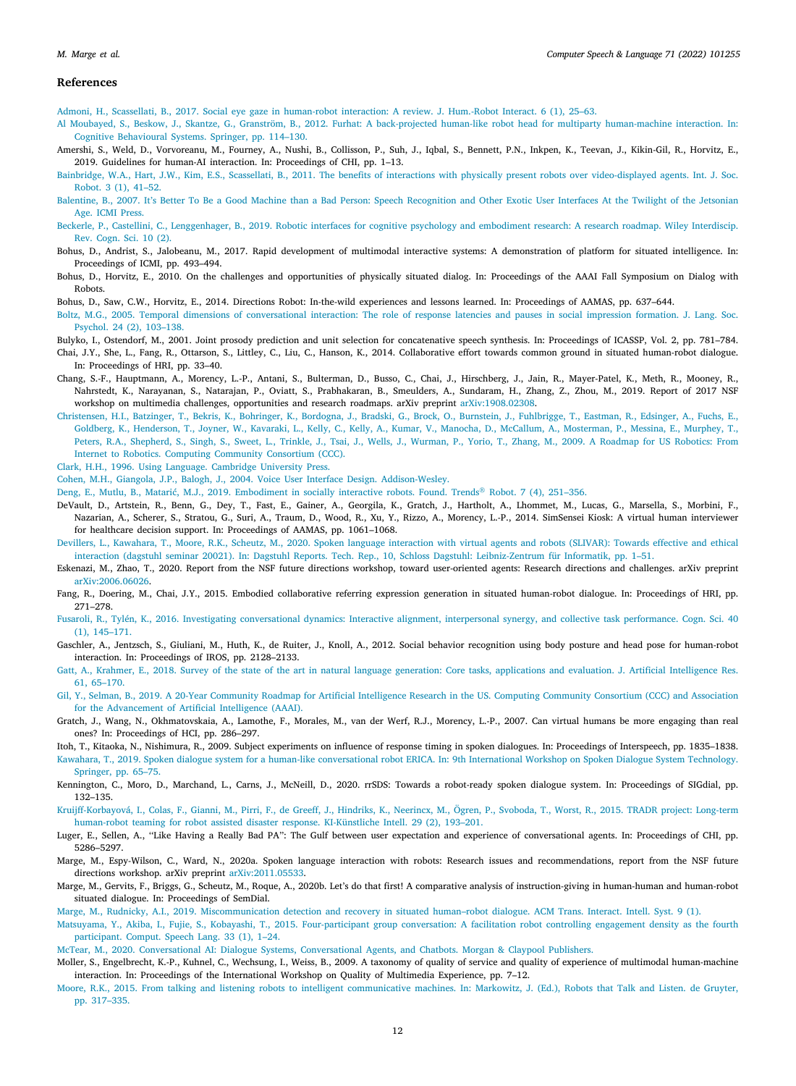#### *M. Marge et al.*

#### **References**

<span id="page-11-35"></span>[Admoni, H., Scassellati, B., 2017. Social eye gaze in human-robot interaction: A review. J. Hum.-Robot Interact. 6 \(1\), 25–63.](http://refhub.elsevier.com/S0885-2308(21)00062-0/sb1)

- <span id="page-11-17"></span>[Al Moubayed, S., Beskow, J., Skantze, G., Granström, B., 2012. Furhat: A back-projected human-like robot head for multiparty human-machine interaction. In:](http://refhub.elsevier.com/S0885-2308(21)00062-0/sb2) [Cognitive Behavioural Systems. Springer, pp. 114–130.](http://refhub.elsevier.com/S0885-2308(21)00062-0/sb2)
- <span id="page-11-2"></span>Amershi, S., Weld, D., Vorvoreanu, M., Fourney, A., Nushi, B., Collisson, P., Suh, J., Iqbal, S., Bennett, P.N., Inkpen, K., Teevan, J., Kikin-Gil, R., Horvitz, E., 2019. Guidelines for human-AI interaction. In: Proceedings of CHI, pp. 1–13.
- <span id="page-11-10"></span>[Bainbridge, W.A., Hart, J.W., Kim, E.S., Scassellati, B., 2011. The benefits of interactions with physically present robots over video-displayed agents. Int. J. Soc.](http://refhub.elsevier.com/S0885-2308(21)00062-0/sb4) [Robot. 3 \(1\), 41–52.](http://refhub.elsevier.com/S0885-2308(21)00062-0/sb4)
- <span id="page-11-14"></span>[Balentine, B., 2007. It's Better To Be a Good Machine than a Bad Person: Speech Recognition and Other Exotic User Interfaces At the Twilight of the Jetsonian](http://refhub.elsevier.com/S0885-2308(21)00062-0/sb5) [Age. ICMI Press.](http://refhub.elsevier.com/S0885-2308(21)00062-0/sb5)
- <span id="page-11-3"></span>[Beckerle, P., Castellini, C., Lenggenhager, B., 2019. Robotic interfaces for cognitive psychology and embodiment research: A research roadmap. Wiley Interdiscip.](http://refhub.elsevier.com/S0885-2308(21)00062-0/sb6) [Rev. Cogn. Sci. 10 \(2\).](http://refhub.elsevier.com/S0885-2308(21)00062-0/sb6)
- <span id="page-11-34"></span>Bohus, D., Andrist, S., Jalobeanu, M., 2017. Rapid development of multimodal interactive systems: A demonstration of platform for situated intelligence. In: Proceedings of ICMI, pp. 493–494.
- <span id="page-11-8"></span>Bohus, D., Horvitz, E., 2010. On the challenges and opportunities of physically situated dialog. In: Proceedings of the AAAI Fall Symposium on Dialog with Robots.

<span id="page-11-18"></span>Bohus, D., Saw, C.W., Horvitz, E., 2014. Directions Robot: In-the-wild experiences and lessons learned. In: Proceedings of AAMAS, pp. 637–644.

<span id="page-11-32"></span>[Boltz, M.G., 2005. Temporal dimensions of conversational interaction: The role of response latencies and pauses in social impression formation. J. Lang. Soc.](http://refhub.elsevier.com/S0885-2308(21)00062-0/sb10) [Psychol. 24 \(2\), 103–138.](http://refhub.elsevier.com/S0885-2308(21)00062-0/sb10)

<span id="page-11-22"></span>Bulyko, I., Ostendorf, M., 2001. Joint prosody prediction and unit selection for concatenative speech synthesis. In: Proceedings of ICASSP, Vol. 2, pp. 781–784.

- <span id="page-11-24"></span>Chai, J.Y., She, L., Fang, R., Ottarson, S., Littley, C., Liu, C., Hanson, K., 2014. Collaborative effort towards common ground in situated human-robot dialogue. In: Proceedings of HRI, pp. 33-40.
- <span id="page-11-4"></span>Chang, S.-F., Hauptmann, A., Morency, L.-P., Antani, S., Bulterman, D., Busso, C., Chai, J., Hirschberg, J., Jain, R., Mayer-Patel, K., Meth, R., Mooney, R., Nahrstedt, K., Narayanan, S., Natarajan, P., Oviatt, S., Prabhakaran, B., Smeulders, A., Sundaram, H., Zhang, Z., Zhou, M., 2019. Report of 2017 NSF workshop on multimedia challenges, opportunities and research roadmaps. arXiv preprint [arXiv:1908.02308.](http://arxiv.org/abs/1908.02308)
- <span id="page-11-5"></span>[Christensen, H.I., Batzinger, T., Bekris, K., Bohringer, K., Bordogna, J., Bradski, G., Brock, O., Burnstein, J., Fuhlbrigge, T., Eastman, R., Edsinger, A., Fuchs, E.,](http://refhub.elsevier.com/S0885-2308(21)00062-0/sb14) [Goldberg, K., Henderson, T., Joyner, W., Kavaraki, L., Kelly, C., Kelly, A., Kumar, V., Manocha, D., McCallum, A., Mosterman, P., Messina, E., Murphey, T.,](http://refhub.elsevier.com/S0885-2308(21)00062-0/sb14) [Peters, R.A., Shepherd, S., Singh, S., Sweet, L., Trinkle, J., Tsai, J., Wells, J., Wurman, P., Yorio, T., Zhang, M., 2009. A Roadmap for US Robotics: From](http://refhub.elsevier.com/S0885-2308(21)00062-0/sb14) [Internet to Robotics. Computing Community Consortium \(CCC\).](http://refhub.elsevier.com/S0885-2308(21)00062-0/sb14)

<span id="page-11-23"></span>[Clark, H.H., 1996. Using Language. Cambridge University Press.](http://refhub.elsevier.com/S0885-2308(21)00062-0/sb15)

<span id="page-11-26"></span>[Cohen, M.H., Giangola, J.P., Balogh, J., 2004. Voice User Interface Design. Addison-Wesley.](http://refhub.elsevier.com/S0885-2308(21)00062-0/sb16)

<span id="page-11-11"></span>[Deng, E., Mutlu, B., Matarić, M.J., 2019. Embodiment in socially interactive robots. Found. Trends](http://refhub.elsevier.com/S0885-2308(21)00062-0/sb17)® Robot. 7 (4), 251–356.

- <span id="page-11-27"></span>DeVault, D., Artstein, R., Benn, G., Dey, T., Fast, E., Gainer, A., Georgila, K., Gratch, J., Hartholt, A., Lhommet, M., Lucas, G., Marsella, S., Morbini, F., Nazarian, A., Scherer, S., Stratou, G., Suri, A., Traum, D., Wood, R., Xu, Y., Rizzo, A., Morency, L.-P., 2014. SimSensei Kiosk: A virtual human interviewer for healthcare decision support. In: Proceedings of AAMAS, pp. 1061–1068.
- <span id="page-11-1"></span>[Devillers, L., Kawahara, T., Moore, R.K., Scheutz, M., 2020. Spoken language interaction with virtual agents and robots \(SLIVAR\): Towards effective and ethical](http://refhub.elsevier.com/S0885-2308(21)00062-0/sb19) [interaction \(dagstuhl seminar 20021\). In: Dagstuhl Reports. Tech. Rep., 10, Schloss Dagstuhl: Leibniz-Zentrum für Informatik, pp. 1–51.](http://refhub.elsevier.com/S0885-2308(21)00062-0/sb19)
- <span id="page-11-6"></span>Eskenazi, M., Zhao, T., 2020. Report from the NSF future directions workshop, toward user-oriented agents: Research directions and challenges. arXiv preprint [arXiv:2006.06026.](http://arxiv.org/abs/2006.06026)
- <span id="page-11-25"></span>Fang, R., Doering, M., Chai, J.Y., 2015. Embodied collaborative referring expression generation in situated human-robot dialogue. In: Proceedings of HRI, pp. 271–278.
- <span id="page-11-30"></span>[Fusaroli, R., Tylén, K., 2016. Investigating conversational dynamics: Interactive alignment, interpersonal synergy, and collective task performance. Cogn. Sci. 40](http://refhub.elsevier.com/S0885-2308(21)00062-0/sb22) [\(1\), 145–171.](http://refhub.elsevier.com/S0885-2308(21)00062-0/sb22)
- <span id="page-11-36"></span>Gaschler, A., Jentzsch, S., Giuliani, M., Huth, K., de Ruiter, J., Knoll, A., 2012. Social behavior recognition using body posture and head pose for human-robot interaction. In: Proceedings of IROS, pp. 2128–2133.
- <span id="page-11-21"></span>[Gatt, A., Krahmer, E., 2018. Survey of the state of the art in natural language generation: Core tasks, applications and evaluation. J. Artificial Intelligence Res.](http://refhub.elsevier.com/S0885-2308(21)00062-0/sb24) [61, 65–170.](http://refhub.elsevier.com/S0885-2308(21)00062-0/sb24)
- <span id="page-11-7"></span>[Gil, Y., Selman, B., 2019. A 20-Year Community Roadmap for Artificial Intelligence Research in the US. Computing Community Consortium \(CCC\) and Association](http://refhub.elsevier.com/S0885-2308(21)00062-0/sb25) [for the Advancement of Artificial Intelligence \(AAAI\).](http://refhub.elsevier.com/S0885-2308(21)00062-0/sb25)
- <span id="page-11-28"></span>Gratch, J., Wang, N., Okhmatovskaia, A., Lamothe, F., Morales, M., van der Werf, R.J., Morency, L.-P., 2007. Can virtual humans be more engaging than real ones? In: Proceedings of HCI, pp. 286–297.

<span id="page-11-33"></span>Itoh, T., Kitaoka, N., Nishimura, R., 2009. Subject experiments on influence of response timing in spoken dialogues. In: Proceedings of Interspeech, pp. 1835–1838.

<span id="page-11-29"></span>[Kawahara, T., 2019. Spoken dialogue system for a human-like conversational robot ERICA. In: 9th International Workshop on Spoken Dialogue System Technology.](http://refhub.elsevier.com/S0885-2308(21)00062-0/sb28) [Springer, pp. 65–75.](http://refhub.elsevier.com/S0885-2308(21)00062-0/sb28)

- <span id="page-11-31"></span>Kennington, C., Moro, D., Marchand, L., Carns, J., McNeill, D., 2020. rrSDS: Towards a robot-ready spoken dialogue system. In: Proceedings of SIGdial, pp. 132–135.
- <span id="page-11-13"></span>[Kruijff-Korbayová, I., Colas, F., Gianni, M., Pirri, F., de Greeff, J., Hindriks, K., Neerincx, M., Ögren, P., Svoboda, T., Worst, R., 2015. TRADR project: Long-term](http://refhub.elsevier.com/S0885-2308(21)00062-0/sb30) [human-robot teaming for robot assisted disaster response. KI-Künstliche Intell. 29 \(2\), 193–201.](http://refhub.elsevier.com/S0885-2308(21)00062-0/sb30)
- <span id="page-11-16"></span>Luger, E., Sellen, A., ''Like Having a Really Bad PA'': The Gulf between user expectation and experience of conversational agents. In: Proceedings of CHI, pp. 5286–5297.
- <span id="page-11-0"></span>Marge, M., Espy-Wilson, C., Ward, N., 2020a. Spoken language interaction with robots: Research issues and recommendations, report from the NSF future directions workshop. arXiv preprint [arXiv:2011.05533.](http://arxiv.org/abs/2011.05533)
- <span id="page-11-20"></span>Marge, M., Gervits, F., Briggs, G., Scheutz, M., Roque, A., 2020b. Let's do that first! A comparative analysis of instruction-giving in human-human and human-robot situated dialogue. In: Proceedings of SemDial.

<span id="page-11-37"></span>[Marge, M., Rudnicky, A.I., 2019. Miscommunication detection and recovery in situated human–robot dialogue. ACM Trans. Interact. Intell. Syst. 9 \(1\).](http://refhub.elsevier.com/S0885-2308(21)00062-0/sb34)

- <span id="page-11-19"></span>[Matsuyama, Y., Akiba, I., Fujie, S., Kobayashi, T., 2015. Four-participant group conversation: A facilitation robot controlling engagement density as the fourth](http://refhub.elsevier.com/S0885-2308(21)00062-0/sb35) [participant. Comput. Speech Lang. 33 \(1\), 1–24.](http://refhub.elsevier.com/S0885-2308(21)00062-0/sb35)
- <span id="page-11-9"></span>[McTear, M., 2020. Conversational AI: Dialogue Systems, Conversational Agents, and Chatbots. Morgan & Claypool Publishers.](http://refhub.elsevier.com/S0885-2308(21)00062-0/sb36)
- <span id="page-11-15"></span>Moller, S., Engelbrecht, K.-P., Kuhnel, C., Wechsung, I., Weiss, B., 2009. A taxonomy of quality of service and quality of experience of multimodal human-machine interaction. In: Proceedings of the International Workshop on Quality of Multimedia Experience, pp. 7–12.
- <span id="page-11-12"></span>[Moore, R.K., 2015. From talking and listening robots to intelligent communicative machines. In: Markowitz, J. \(Ed.\), Robots that Talk and Listen. de Gruyter,](http://refhub.elsevier.com/S0885-2308(21)00062-0/sb38) [pp. 317–335.](http://refhub.elsevier.com/S0885-2308(21)00062-0/sb38)